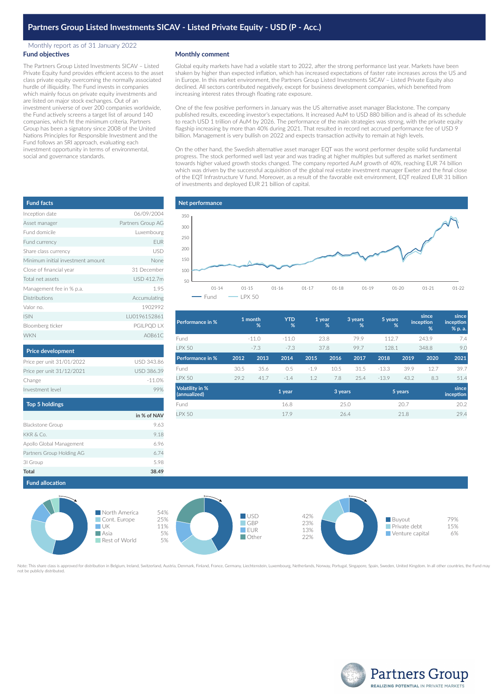## Monthly report as of 31 January 2022 **Fund objectives**

The Partners Group Listed Investments SICAV – Listed Private Equity fund provides efficient access to the asset class private equity overcoming the normally associated hurdle of illiquidity. The Fund invests in companies which mainly focus on private equity investments and are listed on major stock exchanges. Out of an investment universe of over 200 companies worldwide, the Fund actively screens a target list of around 140 companies, which fit the minimum criteria. Partners Group has been a signatory since 2008 of the United Nations Principles for Responsible Investment and the Fund follows an SRI approach, evaluating each investment opportunity in terms of environmental, social and governance standards.

## **Monthly comment**

Global equity markets have had a volatile start to 2022, after the strong performance last year. Markets have been shaken by higher than expected inflation, which has increased expectations of faster rate increases across the US and in Europe. In this market environment, the Partners Group Listed Investments SICAV – Listed Private Equity also declined. All sectors contributed negatively, except for business development companies, which benefited from increasing interest rates through floating rate exposure.

One of the few positive performers in January was the US alternative asset manager Blackstone. The company published results, exceeding investor's expectations. It increased AuM to USD 880 billion and is ahead of its schedule to reach USD 1 trillion of AuM by 2026. The performance of the main strategies was strong, with the private equity flagship increasing by more than 40% during 2021. That resulted in record net accrued performance fee of USD 9 billion. Management is very bullish on 2022 and expects transaction activity to remain at high levels.

On the other hand, the Swedish alternative asset manager EQT was the worst performer despite solid fundamental progress. The stock performed well last year and was trading at higher multiples but suffered as market sentiment towards higher valued growth stocks changed. The company reported AuM growth of 40%, reaching EUR 74 billion which was driven by the successful acquisition of the global real estate investment manager Exeter and the final close of the EQT Infrastructure V fund. Moreover, as a result of the favorable exit environment, EQT realized EUR 31 billion of investments and deployed EUR 21 billion of capital.



| Performance in %                       |      | 1 month<br>$\frac{9}{6}$ | <b>YTD</b><br>% |        | 1 year<br>% | 3 years<br>% | 5 years | %       | since<br>inception<br>% | since<br>inception<br>% p. a. |
|----------------------------------------|------|--------------------------|-----------------|--------|-------------|--------------|---------|---------|-------------------------|-------------------------------|
| Fund                                   |      | $-11.0$                  | $-11.0$         |        | 23.8        | 79.9         | 112.7   |         | 243.9                   | 7.4                           |
| <b>LPX 50</b>                          |      | $-7.3$                   | $-7.3$          |        | 37.8        | 99.7         | 128.1   |         | 348.8                   | 9.0                           |
| Performance in %                       | 2012 | 2013                     | 2014            | 2015   | 2016        | 2017         | 2018    | 2019    | 2020                    | 2021                          |
| Fund                                   | 30.5 | 35.6                     | 0.5             | $-1.9$ | 10.5        | 31.5         | $-13.3$ | 39.9    | 12.7                    | 39.7                          |
| <b>LPX 50</b>                          | 29.2 | 41.7                     | $-1.4$          | 1.2    | 7.8         | 25.4         | $-13.9$ | 43.2    | 8.3                     | 51.4                          |
| <b>Volatility in %</b><br>(annualized) |      |                          | 1 year          |        | 3 years     |              |         | 5 years |                         | since<br>inception            |
| Fund                                   |      |                          | 16.8            |        |             | 25.0         |         | 20.7    |                         | 20.2                          |
| <b>I PX 50</b>                         |      |                          | 17.9            |        |             | 26.4         |         | 21.8    |                         | 29.4                          |





oved for distribution in Belgium, Ireland, Switzerland, Austria, Denmark, Finland, France, Germany, Liechtenstein, Luxembourg, Netherlands, Norway, Portugal, Singapore, Spain, Sweden, United Kingdom. In all other countries Note: This share class is appr<br>not be publicly distributed.



| <b>Fund facts</b>                 |                   |
|-----------------------------------|-------------------|
| Inception date                    | 06/09/2004        |
| Asset manager                     | Partners Group AG |
| Fund domicile                     | Luxembourg        |
| Fund currency                     | <b>EUR</b>        |
| Share class currency              | <b>USD</b>        |
| Minimum initial investment amount | None              |
| Close of financial year           | 31 December       |
| Total net assets                  | USD 412.7m        |
| Management fee in % p.a.          | 1.95              |
| Distributions                     | Accumulating      |
| Valor no.                         | 1902992           |
| <b>ISIN</b>                       | LU0196152861      |
| Bloomberg ticker                  | PGILPQD LX        |
| <b>WKN</b>                        | A0B61C            |

| USD 343.86        |
|-------------------|
| <b>USD 386.39</b> |
| $-11.0%$          |
|                   |
|                   |

| <b>Top 5 holdings</b>     |             |
|---------------------------|-------------|
|                           | in % of NAV |
| <b>Blackstone Group</b>   | 9.63        |
| KKR & Co.                 | 9.18        |
| Apollo Global Management  | 696         |
| Partners Group Holding AG | 6.74        |
| 31 Group                  | 598         |
| Total                     | 38.49       |